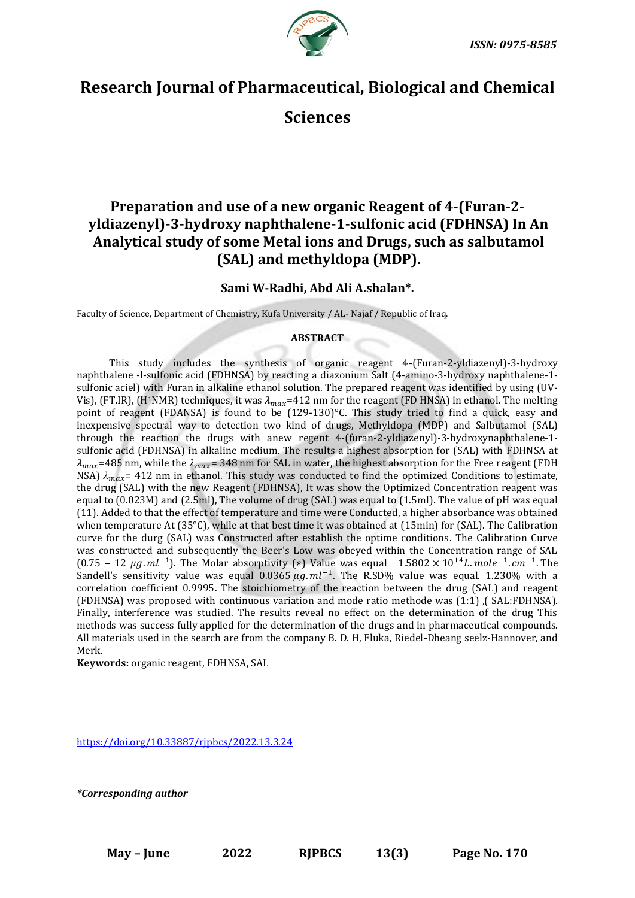

# **Research Journal of Pharmaceutical, Biological and Chemical**

**Sciences**

# **Preparation and use of a new organic Reagent of 4-(Furan-2 yldiazenyl)-3-hydroxy naphthalene-1-sulfonic acid (FDHNSA) In An Analytical study of some Metal ions and Drugs, such as salbutamol (SAL) and methyldopa (MDP).**

# **Sami W-Radhi, Abd Ali A.shalan\*.**

Faculty of Science, Department of Chemistry, Kufa University / AL- Najaf / Republic of Iraq.

# **ABSTRACT**

This study includes the synthesis of organic reagent 4-(Furan-2-yldiazenyl)-3-hydroxy naphthalene -l-sulfonic acid (FDHNSA) by reacting a diazonium Salt (4-amino-3-hydroxy naphthalene-1 sulfonic aciel) with Furan in alkaline ethanol solution. The prepared reagent was identified by using (UV-Vis), (FT.IR), (H<sup>1</sup>NMR) techniques, it was  $\lambda_{max}$ =412 nm for the reagent (FD HNSA) in ethanol. The melting point of reagent (FDANSA) is found to be (129-130)°C. This study tried to find a quick, easy and inexpensive spectral way to detection two kind of drugs, Methyldopa (MDP) and Salbutamol (SAL) through the reaction the drugs with anew regent 4-(furan-2-yldiazenyl)-3-hydroxynaphthalene-1 sulfonic acid (FDHNSA) in alkaline medium. The results a highest absorption for (SAL) with FDHNSA at  $\lambda_{max}$ =485 nm, while the  $\lambda_{max}$ = 348 nm for SAL in water, the highest absorption for the Free reagent (FDH NSA)  $\lambda_{max}$  = 412 nm in ethanol. This study was conducted to find the optimized Conditions to estimate, the drug (SAL) with the new Reagent (FDHNSA), It was show the Optimized Concentration reagent was equal to (0.023M) and (2.5ml), The volume of drug (SAL) was equal to (1.5ml). The value of pH was equal (11). Added to that the effect of temperature and time were Conducted, a higher absorbance was obtained when temperature At (35°C), while at that best time it was obtained at (15min) for (SAL). The Calibration curve for the durg (SAL) was Constructed after establish the optime conditions. The Calibration Curve was constructed and subsequently the Beer's Low was obeyed within the Concentration range of SAL (0.75 – 12 μg. ml<sup>-1</sup>). The Molar absorptivity (ε) Value was equal 1.5802 × 10<sup>+4</sup>L. mole<sup>-1</sup>. cm<sup>-1</sup>. The Sandell's sensitivity value was equal  $0.0365 \mu g$ .  $ml^{-1}$ . The R.SD% value was equal. 1.230% with a correlation coefficient 0.9995. The stoichiometry of the reaction between the drug (SAL) and reagent (FDHNSA) was proposed with continuous variation and mode ratio methode was (1:1) ,( SAL:FDHNSA). Finally, interference was studied. The results reveal no effect on the determination of the drug This methods was success fully applied for the determination of the drugs and in pharmaceutical compounds. All materials used in the search are from the company B. D. H, Fluka, Riedel-Dheang seelz-Hannover, and Merk.

**Keywords:** organic reagent, FDHNSA, SAL

<https://doi.org/10.33887/rjpbcs/2022.13.3.24>

*\*Corresponding author*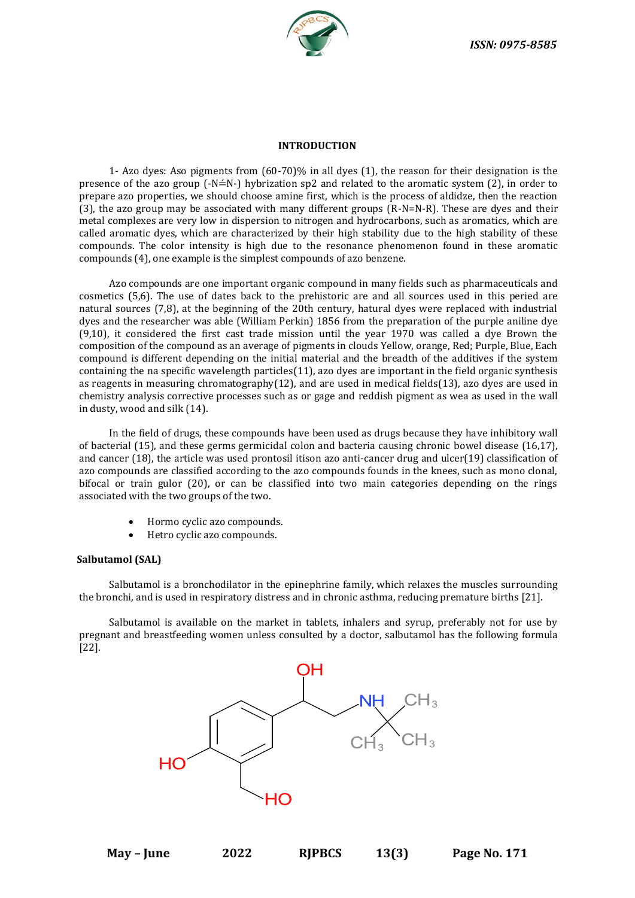

## **INTRODUCTION**

1- Azo dyes: Aso pigments from (60-70)% in all dyes (1), the reason for their designation is the presence of the azo group  $(-N=K-)$  hybrization sp2 and related to the aromatic system (2), in order to prepare azo properties, we should choose amine first, which is the process of aldidze, then the reaction (3), the azo group may be associated with many different groups (R-N=N-R). These are dyes and their metal complexes are very low in dispersion to nitrogen and hydrocarbons, such as aromatics, which are called aromatic dyes, which are characterized by their high stability due to the high stability of these compounds. The color intensity is high due to the resonance phenomenon found in these aromatic compounds (4), one example is the simplest compounds of azo benzene.

Azo compounds are one important organic compound in many fields such as pharmaceuticals and cosmetics (5,6). The use of dates back to the prehistoric are and all sources used in this peried are natural sources (7,8), at the beginning of the 20th century, hatural dyes were replaced with industrial dyes and the researcher was able (William Perkin) 1856 from the preparation of the purple aniline dye (9,10), it considered the first cast trade mission until the year 1970 was called a dye Brown the composition of the compound as an average of pigments in clouds Yellow, orange, Red; Purple, Blue, Each compound is different depending on the initial material and the breadth of the additives if the system containing the na specific wavelength particles(11), azo dyes are important in the field organic synthesis as reagents in measuring chromatography(12), and are used in medical fields(13), azo dyes are used in chemistry analysis corrective processes such as or gage and reddish pigment as wea as used in the wall in dusty, wood and silk (14).

In the field of drugs, these compounds have been used as drugs because they have inhibitory wall of bacterial (15), and these germs germicidal colon and bacteria causing chronic bowel disease (16,17), and cancer (18), the article was used prontosil itison azo anti-cancer drug and ulcer(19) classification of azo compounds are classified according to the azo compounds founds in the knees, such as mono clonal, bifocal or train gulor (20), or can be classified into two main categories depending on the rings associated with the two groups of the two.

- Hormo cyclic azo compounds.
- Hetro cyclic azo compounds.

#### **Salbutamol (SAL)**

Salbutamol is a bronchodilator in the epinephrine family, which relaxes the muscles surrounding the bronchi, and is used in respiratory distress and in chronic asthma, reducing premature births [21].

Salbutamol is available on the market in tablets, inhalers and syrup, preferably not for use by pregnant and breastfeeding women unless consulted by a doctor, salbutamol has the following formula [22].

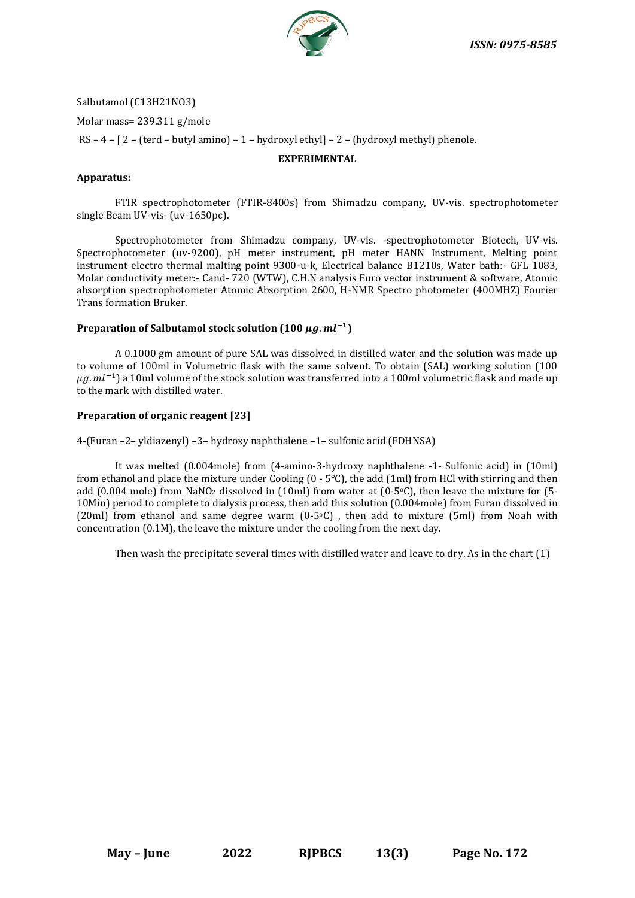

Salbutamol (C13H21NO3)

Molar mass= 239.311 g/mole

RS – 4 – [ 2 – (terd – butyl amino) – 1 – hydroxyl ethyl] – 2 – (hydroxyl methyl) phenole.

# **EXPERIMENTAL**

# **Apparatus:**

FTIR spectrophotometer (FTIR-8400s) from Shimadzu company, UV-vis. spectrophotometer single Beam UV-vis- (uv-1650pc).

Spectrophotometer from Shimadzu company, UV-vis. -spectrophotometer Biotech, UV-vis. Spectrophotometer (uv-9200), pH meter instrument, pH meter HANN Instrument, Melting point instrument electro thermal malting point 9300-u-k, Electrical balance B1210s, Water bath:- GFL 1083, Molar conductivity meter:- Cand- 720 (WTW), C.H.N analysis Euro vector instrument & software, Atomic absorption spectrophotometer Atomic Absorption 2600, H1NMR Spectro photometer (400MHZ) Fourier Trans formation Bruker.

# **Preparation of Salbutamol stock solution (100**  $\mu$ **g. ml<sup>-1</sup>)**

A 0.1000 gm amount of pure SAL was dissolved in distilled water and the solution was made up to volume of 100ml in Volumetric flask with the same solvent. To obtain (SAL) working solution (100  $\mu g$ .  $ml^{-1}$ ) a 10ml volume of the stock solution was transferred into a 100ml volumetric flask and made up to the mark with distilled water.

# **Preparation of organic reagent [23]**

4-(Furan –2– yldiazenyl) –3– hydroxy naphthalene –1– sulfonic acid (FDHNSA)

It was melted (0.004mole) from (4-amino-3-hydroxy naphthalene -1- Sulfonic acid) in (10ml) from ethanol and place the mixture under Cooling  $(0 - 5^{\circ}C)$ , the add (1ml) from HCl with stirring and then add (0.004 mole) from NaNO<sub>2</sub> dissolved in (10ml) from water at (0-5 $\degree$ C), then leave the mixture for (5-10Min) period to complete to dialysis process, then add this solution (0.004mole) from Furan dissolved in (20ml) from ethanol and same degree warm  $(0-5°C)$  , then add to mixture (5ml) from Noah with concentration (0.1M), the leave the mixture under the cooling from the next day.

Then wash the precipitate several times with distilled water and leave to dry. As in the chart (1)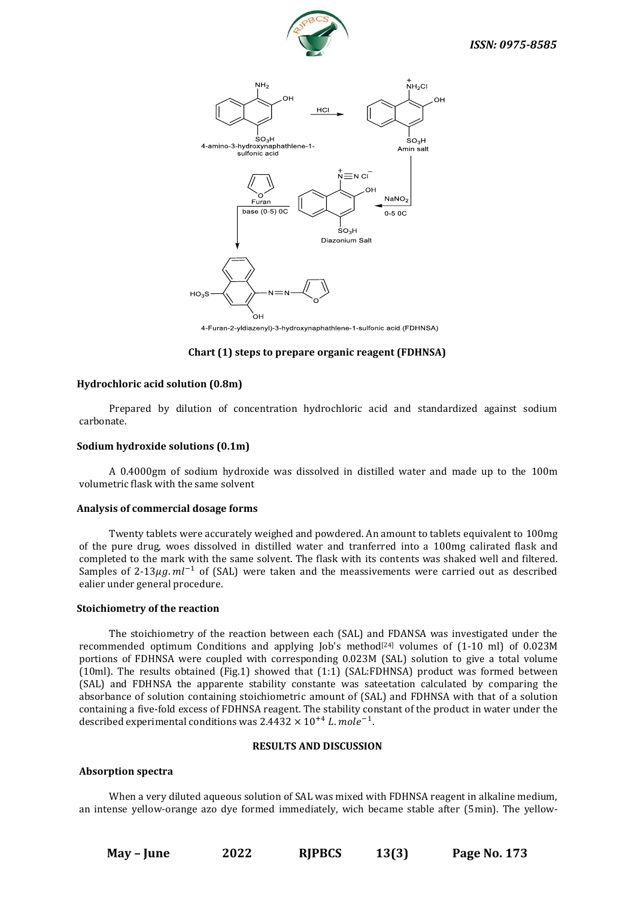



4-Furan-2-yldiazenyl)-3-hydroxynaphathlene-1-sulfonic acid (FDHNSA)

# **Chart (1) steps to prepare organic reagent (FDHNSA)**

## **Hydrochloric acid solution (0.8m)**

Prepared by dilution of concentration hydrochloric acid and standardized against sodium carbonate.

## **Sodium hydroxide solutions (0.1m)**

A 0.4000gm of sodium hydroxide was dissolved in distilled water and made up to the 100m volumetric flask with the same solvent

#### **Analysis of commercial dosage forms**

Twenty tablets were accurately weighed and powdered. An amount to tablets equivalent to 100mg of the pure drug, woes dissolved in distilled water and tranferred into a 100mg calirated flask and completed to the mark with the same solvent. The flask with its contents was shaked well and filtered. Samples of 2-13 $\mu$ q.  $ml^{-1}$  of (SAL) were taken and the meassivements were carried out as described ealier under general procedure.

## **Stoichiometry of the reaction**

The stoichiometry of the reaction between each (SAL) and FDANSA was investigated under the recommended optimum Conditions and applying Job's method<sup>[24]</sup> volumes of  $(1-10 \text{ ml})$  of 0.023M portions of FDHNSA were coupled with corresponding 0.023M (SAL) solution to give a total volume (10ml). The results obtained (Fig.1) showed that (1:1) (SAL:FDHNSA) product was formed between (SAL) and FDHNSA the apparente stability constante was sateetation calculated by comparing the absorbance of solution containing stoichiometric amount of (SAL) and FDHNSA with that of a solution containing a five-fold excess of FDHNSA reagent. The stability constant of the product in water under the described experimental conditions was  $2.4432 \times 10^{+4}$  L. mole<sup>-1</sup>.

#### **RESULTS AND DISCUSSION**

#### **Absorption spectra**

When a very diluted aqueous solution of SAL was mixed with FDHNSA reagent in alkaline medium, an intense yellow-orange azo dye formed immediately, wich became stable after (5min). The yellow-

**May – June 2022 RJPBCS 13(3) Page No. 173**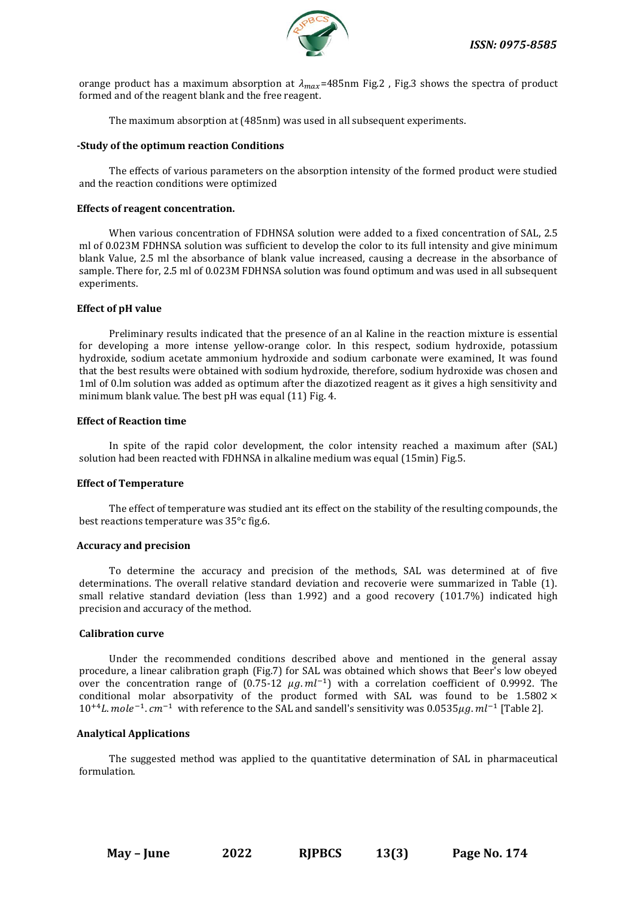

orange product has a maximum absorption at  $\lambda_{max}$ =485nm Fig.2, Fig.3 shows the spectra of product formed and of the reagent blank and the free reagent.

The maximum absorption at (485nm) was used in all subsequent experiments.

## **-Study of the optimum reaction Conditions**

The effects of various parameters on the absorption intensity of the formed product were studied and the reaction conditions were optimized

## **Effects of reagent concentration.**

When various concentration of FDHNSA solution were added to a fixed concentration of SAL, 2.5 ml of 0.023M FDHNSA solution was sufficient to develop the color to its full intensity and give minimum blank Value, 2.5 ml the absorbance of blank value increased, causing a decrease in the absorbance of sample. There for, 2.5 ml of 0.023M FDHNSA solution was found optimum and was used in all subsequent experiments.

# **Effect of pH value**

Preliminary results indicated that the presence of an al Kaline in the reaction mixture is essential for developing a more intense yellow-orange color. In this respect, sodium hydroxide, potassium hydroxide, sodium acetate ammonium hydroxide and sodium carbonate were examined, It was found that the best results were obtained with sodium hydroxide, therefore, sodium hydroxide was chosen and 1ml of 0.lm solution was added as optimum after the diazotized reagent as it gives a high sensitivity and minimum blank value. The best pH was equal (11) Fig. 4.

## **Effect of Reaction time**

In spite of the rapid color development, the color intensity reached a maximum after (SAL) solution had been reacted with FDHNSA in alkaline medium was equal (15min) Fig.5.

# **Effect of Temperature**

The effect of temperature was studied ant its effect on the stability of the resulting compounds, the best reactions temperature was 35°c fig.6.

# **Accuracy and precision**

To determine the accuracy and precision of the methods, SAL was determined at of five determinations. The overall relative standard deviation and recoverie were summarized in Table (1). small relative standard deviation (less than 1.992) and a good recovery (101.7%) indicated high precision and accuracy of the method.

#### **Calibration curve**

Under the recommended conditions described above and mentioned in the general assay procedure, a linear calibration graph (Fig.7) for SAL was obtained which shows that Beer's low obeyed over the concentration range of  $(0.75{\text -}12 \mu g.ml^{-1})$  with a correlation coefficient of 0.9992. The conditional molar absorpativity of the product formed with SAL was found to be  $1.5802 \times$  $10^{+4}$ L. mole<sup>-1</sup>. cm<sup>-1</sup> with reference to the SAL and sandell's sensitivity was 0.0535 $\mu$ g. ml<sup>-1</sup> [Table 2].

# **Analytical Applications**

The suggested method was applied to the quantitative determination of SAL in pharmaceutical formulation.

**May – June 2022 RJPBCS 13(3) Page No. 174**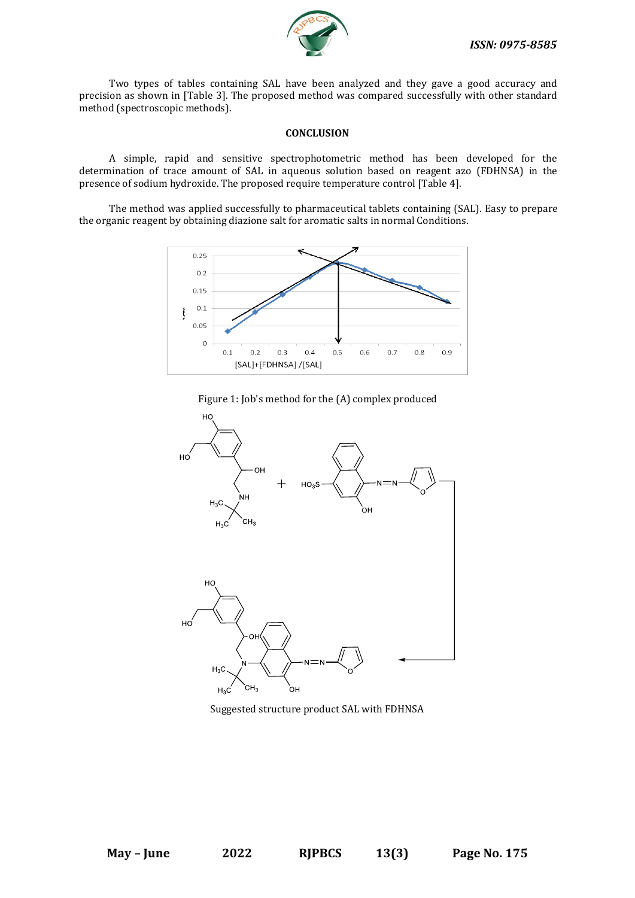

Two types of tables containing SAL have been analyzed and they gave a good accuracy and precision as shown in [Table 3]. The proposed method was compared successfully with other standard method (spectroscopic methods).

## **CONCLUSION**

A simple, rapid and sensitive spectrophotometric method has been developed for the determination of trace amount of SAL in aqueous solution based on reagent azo (FDHNSA) in the presence of sodium hydroxide. The proposed require temperature control [Table 4].

The method was applied successfully to pharmaceutical tablets containing (SAL). Easy to prepare the organic reagent by obtaining diazione salt for aromatic salts in normal Conditions.



Figure 1: Job's method for the (A) complex produced



Suggested structure product SAL with FDHNSA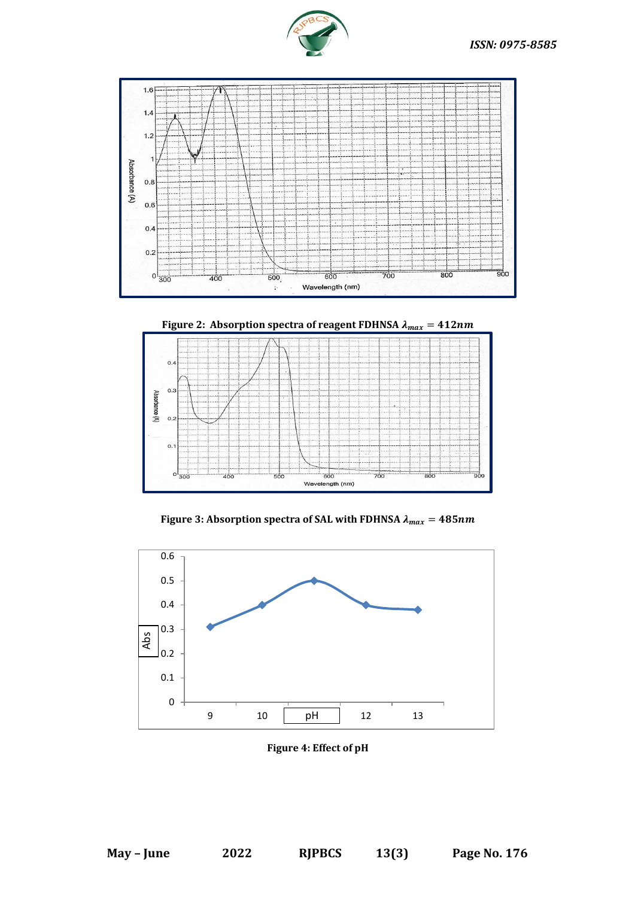





Figure 3: Absorption spectra of SAL with FDHNSA  $\lambda_{max} = 485nm$ 



**Figure 4: Effect of pH**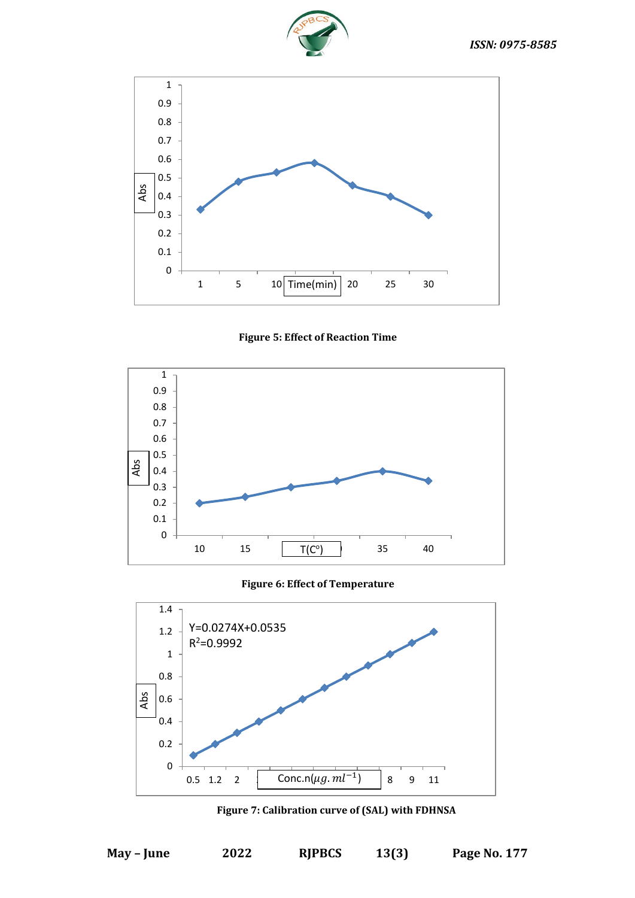







**Figure 6: Effect of Temperature**



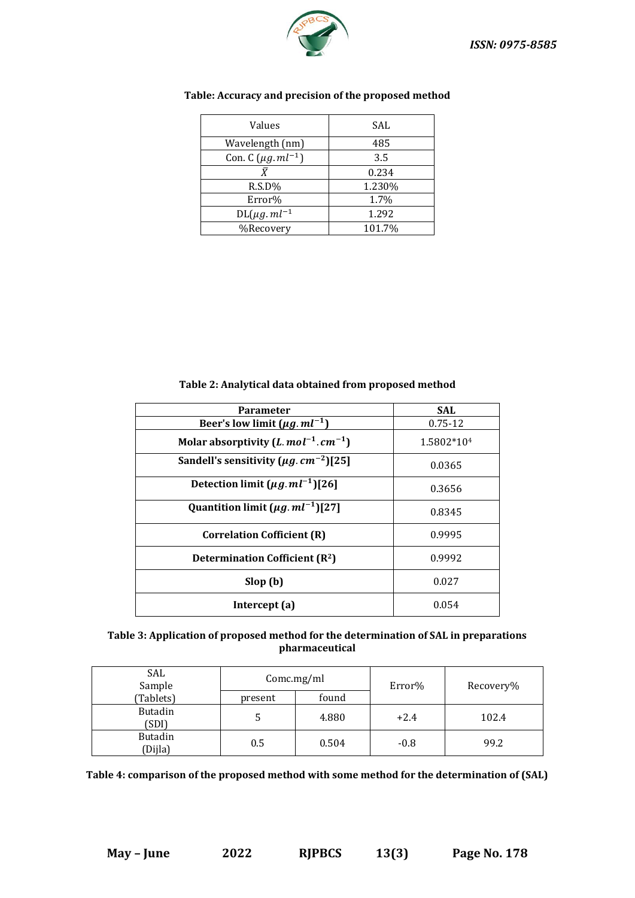

| Values                    | SAL    |
|---------------------------|--------|
| Wavelength (nm)           | 485    |
| Con. C $(\mu g. ml^{-1})$ | 3.5    |
|                           | 0.234  |
| $R.S.D\%$                 | 1.230% |
| Error%                    | 1.7%   |
| $DL(\mu g. ml^{-1})$      | 1.292  |
| %Recovery                 | 101.7% |

# **Table: Accuracy and precision of the proposed method**

**Table 2: Analytical data obtained from proposed method**

| <b>Parameter</b>                                        | <b>SAL</b>  |
|---------------------------------------------------------|-------------|
| Beer's low limit $(\mu g. ml^{-1})$                     | $0.75 - 12$ |
| Molar absorptivity (L. $mol^{-1}$ . $cm^{-1}$ )         | 1.5802*104  |
| Sandell's sensitivity ( $\mu$ g. cm <sup>-2</sup> )[25] | 0.0365      |
| Detection limit $(\mu g \cdot m l^{-1})$ [26]           | 0.3656      |
| Quantition limit $(\mu g. ml^{-1})$ [27]                | 0.8345      |
| <b>Correlation Cofficient (R)</b>                       | 0.9995      |
| <b>Determination Cofficient (R2)</b>                    | 0.9992      |
| Slop(b)                                                 | 0.027       |
| Intercept (a)                                           | 0.054       |

# **Table 3: Application of proposed method for the determination of SAL in preparations pharmaceutical**

| SAL<br>Sample             | Comc.mg/ml |       | Error% | Recovery% |  |
|---------------------------|------------|-------|--------|-----------|--|
| (Tablets)                 | present    | found |        |           |  |
| <b>Butadin</b><br>(SDI)   |            | 4.880 | $+2.4$ | 102.4     |  |
| <b>Butadin</b><br>(Dijla) | 0.5        | 0.504 | $-0.8$ | 99.2      |  |

**Table 4: comparison of the proposed method with some method for the determination of (SAL)**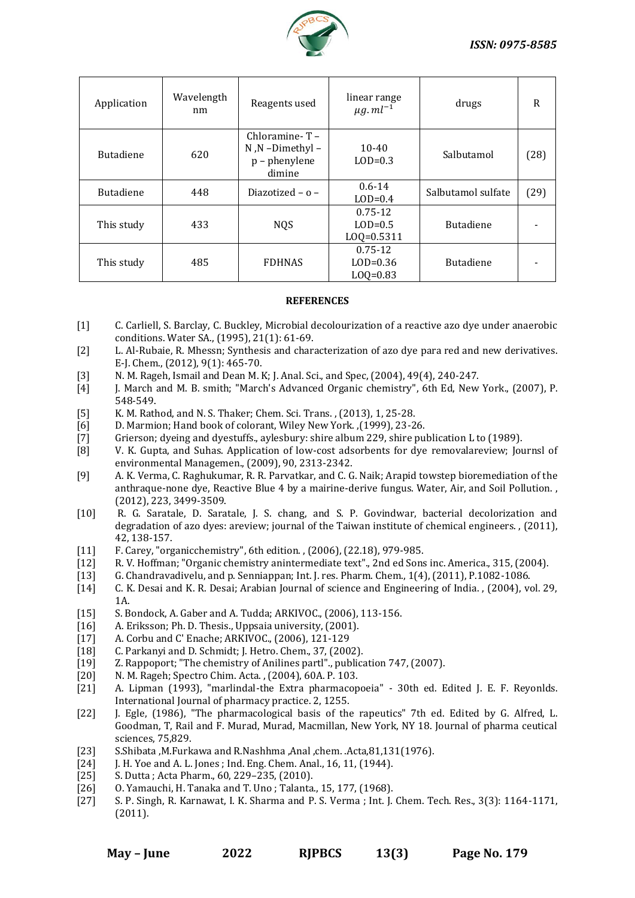

| Application      | Wavelength<br>nm | Reagents used                                                         | linear range<br>$\mu$ g. m $l^{-1}$        | drugs              | R    |
|------------------|------------------|-----------------------------------------------------------------------|--------------------------------------------|--------------------|------|
| <b>Butadiene</b> | 620              | Chloramine- $T -$<br>$N$ , $N$ -Dimethyl -<br>p - phenylene<br>dimine | $10 - 40$<br>$LOD=0.3$                     | Salbutamol         | (28) |
| <b>Butadiene</b> | 448              | Diazotized – $o$ –                                                    | $0.6 - 14$<br>$LOD=0.4$                    | Salbutamol sulfate | (29) |
| This study       | 433              | <b>NQS</b>                                                            | $0.75 - 12$<br>$LOD=0.5$<br>$LOQ = 0.5311$ | <b>Butadiene</b>   |      |
| This study       | 485              | <b>FDHNAS</b>                                                         | $0.75 - 12$<br>$LOD=0.36$<br>$LOQ = 0.83$  | <b>Butadiene</b>   |      |

# **REFERENCES**

- [1] C. Carliell, S. Barclay, C. Buckley, Microbial decolourization of a reactive azo dye under anaerobic conditions. Water SA., (1995), 21(1): 61-69.
- [2] L. Al-Rubaie, R. Mhessn; Synthesis and characterization of azo dye para red and new derivatives. E-J. Chem., (2012), 9(1): 465-70.
- [3] N. M. Rageh, Ismail and Dean M. K; J. Anal. Sci., and Spec, (2004), 49(4), 240-247.
- [4] J. March and M. B. smith; "March's Advanced Organic chemistry", 6th Ed, New York., (2007), P. 548-549.
- [5] K. M. Rathod, and N. S. Thaker; Chem. Sci. Trans. , (2013), 1, 25-28.
- [6] D. Marmion; Hand book of colorant, Wiley New York. ,(1999), 23-26.
- [7] Grierson; dyeing and dyestuffs., aylesbury: shire album 229, shire publication L to (1989).
- [8] V. K. Gupta, and Suhas. Application of low-cost adsorbents for dye removalareview; Journsl of environmental Managemen., (2009), 90, 2313-2342.
- [9] A. K. Verma, C. Raghukumar, R. R. Parvatkar, and C. G. Naik; Arapid towstep bioremediation of the anthraque-none dye, Reactive Blue 4 by a mairine-derive fungus. Water, Air, and Soil Pollution. , (2012), 223, 3499-3509.
- [10] R. G. Saratale, D. Saratale, J. S. chang, and S. P. Govindwar, bacterial decolorization and degradation of azo dyes: areview; journal of the Taiwan institute of chemical engineers. , (2011), 42, 138-157.
- [11] F. Carey, "organicchemistry", 6th edition. , (2006), (22.18), 979-985.
- [12] R. V. Hoffman; "Organic chemistry anintermediate text"., 2nd ed Sons inc. America., 315, (2004).
- [13] G. Chandravadivelu, and p. Senniappan; Int. J. res. Pharm. Chem., 1(4), (2011), P.1082-1086.
- [14] C. K. Desai and K. R. Desai; Arabian Journal of science and Engineering of India., (2004), vol. 29, 1A.
- [15] S. Bondock, A. Gaber and A. Tudda; ARKIVOC., (2006), 113-156.
- [16] A. Eriksson: Ph. D. Thesis., Uppsaia university, (2001).
- [17] A. Corbu and C' Enache; ARKIVOC., (2006), 121-129
- [18] C. Parkanyi and D. Schmidt; J. Hetro. Chem., 37, (2002).
- [19] Z. Rappoport; "The chemistry of Anilines partl"., publication 747, (2007).
- [20] N. M. Rageh; Spectro Chim. Acta. , (2004), 60A. P. 103.
- [21] A. Lipman (1993), "marlindal-the Extra pharmacopoeia" 30th ed. Edited J. E. F. Reyonlds. International Journal of pharmacy practice. 2, 1255.
- [22] J. Egle, (1986), "The pharmacological basis of the rapeutics" 7th ed. Edited by G. Alfred, L. Goodman, T, Rail and F. Murad, Murad, Macmillan, New York, NY 18. Journal of pharma ceutical sciences, 75,829.
- [23] S.Shibata ,M.Furkawa and R.Nashhma ,Anal ,chem. .Acta,81,131(1976).
- [24] J. H. Yoe and A. L. Jones; Ind. Eng. Chem. Anal., 16, 11, (1944).
- [25] S. Dutta ; Acta Pharm., 60, 229–235, (2010).
- [26] O. Yamauchi, H. Tanaka and T. Uno ; Talanta., 15, 177, (1968).
- [27] S. P. Singh, R. Karnawat, I. K. Sharma and P. S. Verma ; Int. J. Chem. Tech. Res., 3(3): 1164-1171, (2011).

**May – June 2022 RJPBCS 13(3) Page No. 179**